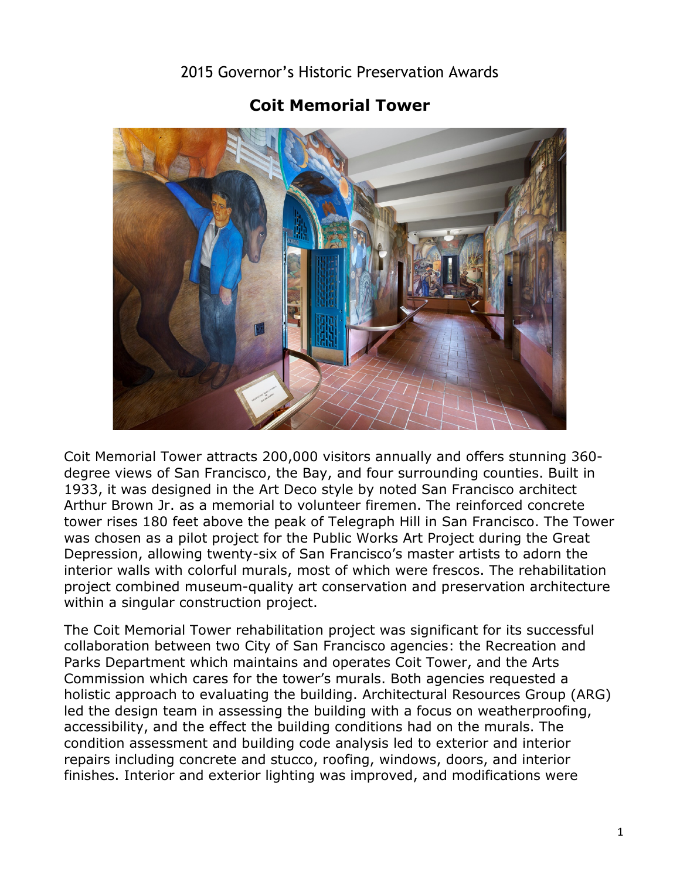2015 Governor's Historic Preservation Awards

## **Coit Memorial Tower**

Coit Memorial Tower attracts 200,000 visitors annually and offers stunning 360 degree views of San Francisco, the Bay, and four surrounding counties. Built in 1933, it was designed in the Art Deco style by noted San Francisco architect Arthur Brown Jr. as a memorial to volunteer firemen. The reinforced concrete tower rises 180 feet above the peak of Telegraph Hill in San Francisco. The Tower was chosen as a pilot project for the Public Works Art Project during the Great Depression, allowing twenty-six of San Francisco's master artists to adorn the interior walls with colorful murals, most of which were frescos. The rehabilitation project combined museum-quality art conservation and preservation architecture within a singular construction project.

The Coit Memorial Tower rehabilitation project was significant for its successful collaboration between two City of San Francisco agencies: the Recreation and Parks Department which maintains and operates Coit Tower, and the Arts Commission which cares for the tower's murals. Both agencies requested a holistic approach to evaluating the building. Architectural Resources Group (ARG) led the design team in assessing the building with a focus on weatherproofing, accessibility, and the effect the building conditions had on the murals. The condition assessment and building code analysis led to exterior and interior repairs including concrete and stucco, roofing, windows, doors, and interior finishes. Interior and exterior lighting was improved, and modifications were